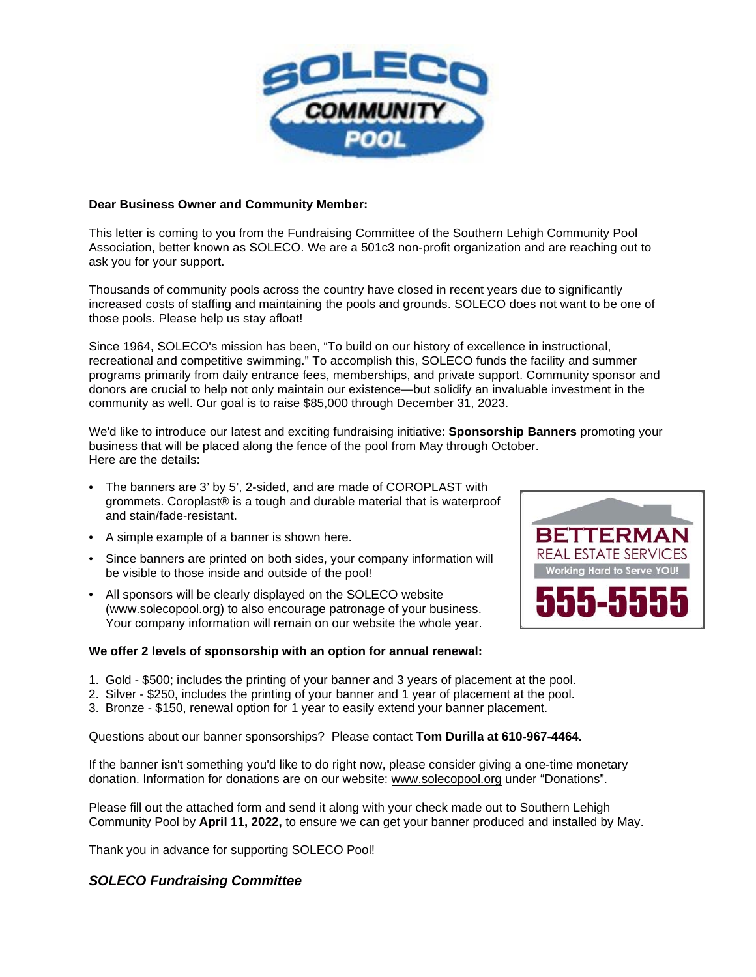

### **Dear Business Owner and Community Member:**

This letter is coming to you from the Fundraising Committee of the Southern Lehigh Community Pool Association, better known as SOLECO. We are a 501c3 non-profit organization and are reaching out to ask you for your support.

Thousands of community pools across the country have closed in recent years due to significantly increased costs of staffing and maintaining the pools and grounds. SOLECO does not want to be one of those pools. Please help us stay afloat!

Since 1964, SOLECO's mission has been, "To build on our history of excellence in instructional, recreational and competitive swimming." To accomplish this, SOLECO funds the facility and summer programs primarily from daily entrance fees, memberships, and private support. Community sponsor and donors are crucial to help not only maintain our existence—but solidify an invaluable investment in the community as well. Our goal is to raise \$85,000 through December 31, 2023.

We'd like to introduce our latest and exciting fundraising initiative: **Sponsorship Banners** promoting your business that will be placed along the fence of the pool from May through October. Here are the details:

- The banners are 3' by 5', 2-sided, and are made of COROPLAST with grommets. Coroplast® is a tough and durable material that is waterproof and stain/fade-resistant.
- A simple example of a banner is shown here.
- Since banners are printed on both sides, your company information will be visible to those inside and outside of the pool!
- All sponsors will be clearly displayed on the SOLECO website (www.solecopool.org) to also encourage patronage of your business. Your company information will remain on our website the whole year.

#### **We offer 2 levels of sponsorship with an option for annual renewal:**

- 1. Gold \$500; includes the printing of your banner and 3 years of placement at the pool.
- 2. Silver \$250, includes the printing of your banner and 1 year of placement at the pool.
- 3. Bronze \$150, renewal option for 1 year to easily extend your banner placement.

Questions about our banner sponsorships? Please contact **Tom Durilla at 610-967-4464.**

If the banner isn't something you'd like to do right now, please consider giving a one-time monetary donation. Information for donations are on our website: [www.solecopool.org](http://www.solecopool.org/) under "Donations".

Please fill out the attached form and send it along with your check made out to Southern Lehigh Community Pool by **April 11, 2022,** to ensure we can get your banner produced and installed by May.

Thank you in advance for supporting SOLECO Pool!

## *SOLECO Fundraising Committee*